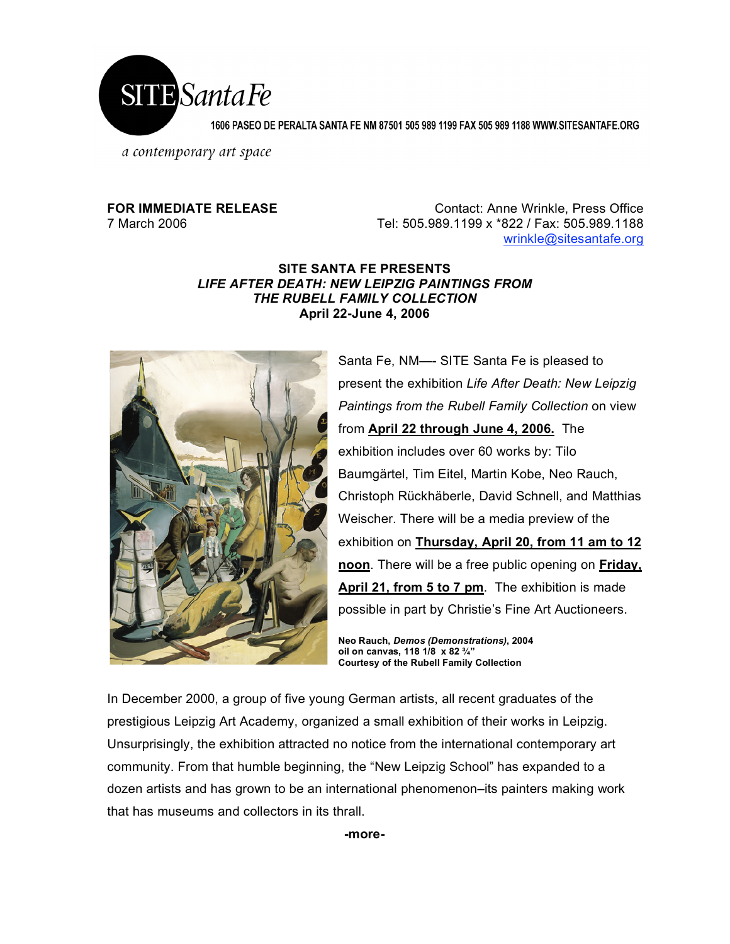

1606 PASEO DE PERALTA SANTA FE NM 87501 505 989 1199 FAX 505 989 1188 WWW.SITESANTAFE.ORG

a contemporary art space

## **FOR IMMEDIATE RELEASE Contact: Anne Wrinkle, Press Office** 7 March 2006 Tel: 505.989.1199 x \*822 / Fax: 505.989.1188 wrinkle@sitesantafe.org

## **SITE SANTA FE PRESENTS** *LIFE AFTER DEATH: NEW LEIPZIG PAINTINGS FROM THE RUBELL FAMILY COLLECTION* **April 22-June 4, 2006**



Santa Fe, NM—- SITE Santa Fe is pleased to present the exhibition *Life After Death: New Leipzig Paintings from the Rubell Family Collection* on view from **April 22 through June 4, 2006.** The exhibition includes over 60 works by: Tilo Baumgärtel, Tim Eitel, Martin Kobe, Neo Rauch, Christoph Rückhäberle, David Schnell, and Matthias Weischer. There will be a media preview of the exhibition on **Thursday, April 20, from 11 am to 12 noon**. There will be a free public opening on **Friday, April 21, from 5 to 7 pm**. The exhibition is made possible in part by Christie's Fine Art Auctioneers.

**Neo Rauch,** *Demos (Demonstrations)***, 2004 oil on canvas, 118 1/8 x 82 ¾" Courtesy of the Rubell Family Collection**

In December 2000, a group of five young German artists, all recent graduates of the prestigious Leipzig Art Academy, organized a small exhibition of their works in Leipzig. Unsurprisingly, the exhibition attracted no notice from the international contemporary art community. From that humble beginning, the "New Leipzig School" has expanded to a dozen artists and has grown to be an international phenomenon–its painters making work that has museums and collectors in its thrall.

**-more-**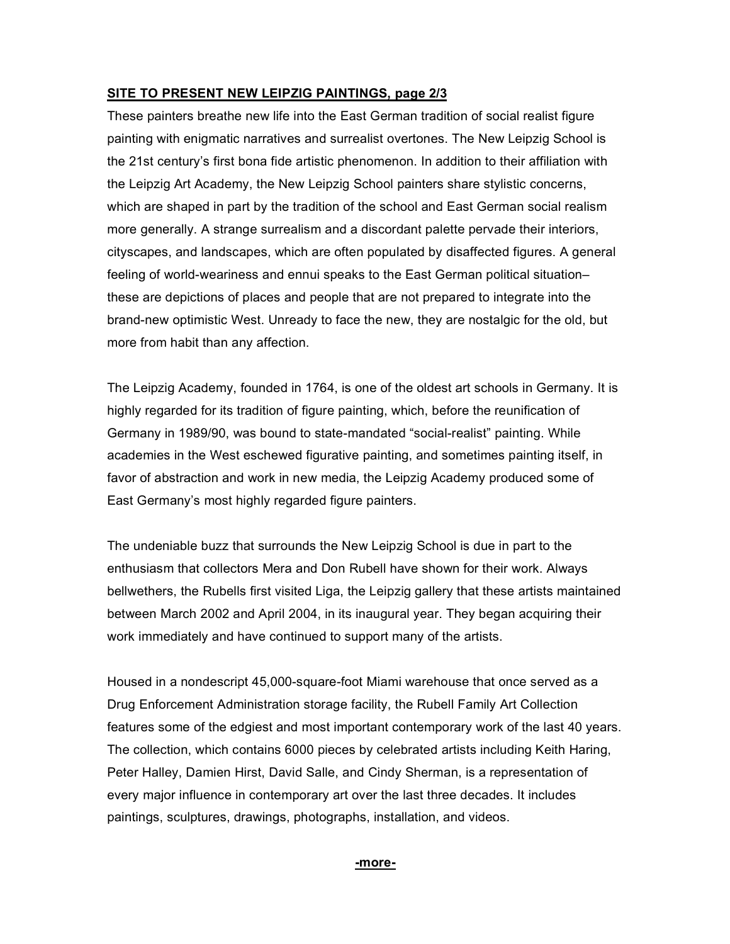## **SITE TO PRESENT NEW LEIPZIG PAINTINGS, page 2/3**

These painters breathe new life into the East German tradition of social realist figure painting with enigmatic narratives and surrealist overtones. The New Leipzig School is the 21st century's first bona fide artistic phenomenon. In addition to their affiliation with the Leipzig Art Academy, the New Leipzig School painters share stylistic concerns, which are shaped in part by the tradition of the school and East German social realism more generally. A strange surrealism and a discordant palette pervade their interiors, cityscapes, and landscapes, which are often populated by disaffected figures. A general feeling of world-weariness and ennui speaks to the East German political situation– these are depictions of places and people that are not prepared to integrate into the brand-new optimistic West. Unready to face the new, they are nostalgic for the old, but more from habit than any affection.

The Leipzig Academy, founded in 1764, is one of the oldest art schools in Germany. It is highly regarded for its tradition of figure painting, which, before the reunification of Germany in 1989/90, was bound to state-mandated "social-realist" painting. While academies in the West eschewed figurative painting, and sometimes painting itself, in favor of abstraction and work in new media, the Leipzig Academy produced some of East Germany's most highly regarded figure painters.

The undeniable buzz that surrounds the New Leipzig School is due in part to the enthusiasm that collectors Mera and Don Rubell have shown for their work. Always bellwethers, the Rubells first visited Liga, the Leipzig gallery that these artists maintained between March 2002 and April 2004, in its inaugural year. They began acquiring their work immediately and have continued to support many of the artists.

Housed in a nondescript 45,000-square-foot Miami warehouse that once served as a Drug Enforcement Administration storage facility, the Rubell Family Art Collection features some of the edgiest and most important contemporary work of the last 40 years. The collection, which contains 6000 pieces by celebrated artists including Keith Haring, Peter Halley, Damien Hirst, David Salle, and Cindy Sherman, is a representation of every major influence in contemporary art over the last three decades. It includes paintings, sculptures, drawings, photographs, installation, and videos.

### **-more-**